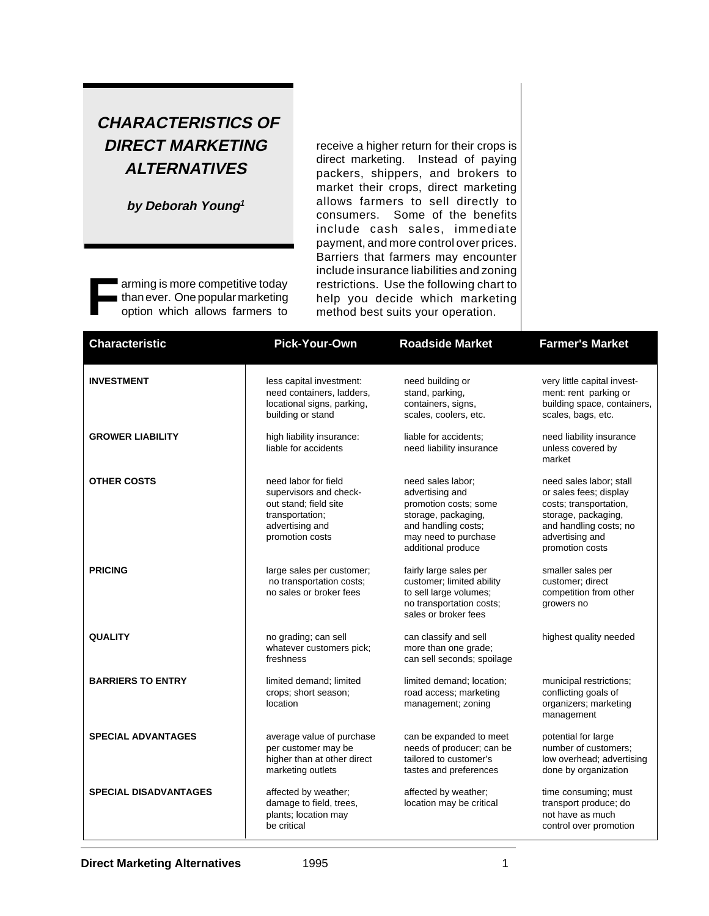## **CHARACTERISTICS OF DIRECT MARKETING ALTERNATIVES**

**by Deborah Young<sup>1</sup>**

arming is more competitive today than ever. One popular marketing option which allows farmers to

receive a higher return for their crops is direct marketing. Instead of paying packers, shippers, and brokers to market their crops, direct marketing allows farmers to sell directly to consumers. Some of the benefits include cash sales, immediate payment, and more control over prices. Barriers that farmers may encounter include insurance liabilities and zoning restrictions. Use the following chart to help you decide which marketing method best suits your operation.

| <b>Characteristic</b>        | <b>Pick-Your-Own</b>                                                                                                             | <b>Roadside Market</b>                                                                                                                                    | <b>Farmer's Market</b>                                                                                                                                             |
|------------------------------|----------------------------------------------------------------------------------------------------------------------------------|-----------------------------------------------------------------------------------------------------------------------------------------------------------|--------------------------------------------------------------------------------------------------------------------------------------------------------------------|
| <b>INVESTMENT</b>            | less capital investment:<br>need containers, ladders,<br>locational signs, parking,<br>building or stand                         | need building or<br>stand, parking,<br>containers, signs,<br>scales, coolers, etc.                                                                        | very little capital invest-<br>ment: rent parking or<br>building space, containers,<br>scales, bags, etc.                                                          |
| <b>GROWER LIABILITY</b>      | high liability insurance:<br>liable for accidents                                                                                | liable for accidents:<br>need liability insurance                                                                                                         | need liability insurance<br>unless covered by<br>market                                                                                                            |
| <b>OTHER COSTS</b>           | need labor for field<br>supervisors and check-<br>out stand; field site<br>transportation;<br>advertising and<br>promotion costs | need sales labor;<br>advertising and<br>promotion costs; some<br>storage, packaging,<br>and handling costs;<br>may need to purchase<br>additional produce | need sales labor; stall<br>or sales fees; display<br>costs; transportation,<br>storage, packaging,<br>and handling costs; no<br>advertising and<br>promotion costs |
| <b>PRICING</b>               | large sales per customer;<br>no transportation costs;<br>no sales or broker fees                                                 | fairly large sales per<br>customer; limited ability<br>to sell large volumes;<br>no transportation costs;<br>sales or broker fees                         | smaller sales per<br>customer; direct<br>competition from other<br>growers no                                                                                      |
| <b>QUALITY</b>               | no grading; can sell<br>whatever customers pick;<br>freshness                                                                    | can classify and sell<br>more than one grade;<br>can sell seconds; spoilage                                                                               | highest quality needed                                                                                                                                             |
| <b>BARRIERS TO ENTRY</b>     | limited demand; limited<br>crops; short season;<br>location                                                                      | limited demand; location;<br>road access; marketing<br>management; zoning                                                                                 | municipal restrictions;<br>conflicting goals of<br>organizers; marketing<br>management                                                                             |
| <b>SPECIAL ADVANTAGES</b>    | average value of purchase<br>per customer may be<br>higher than at other direct<br>marketing outlets                             | can be expanded to meet<br>needs of producer; can be<br>tailored to customer's<br>tastes and preferences                                                  | potential for large<br>number of customers:<br>low overhead; advertising<br>done by organization                                                                   |
| <b>SPECIAL DISADVANTAGES</b> | affected by weather;<br>damage to field, trees,<br>plants; location may<br>be critical                                           | affected by weather;<br>location may be critical                                                                                                          | time consuming; must<br>transport produce; do<br>not have as much<br>control over promotion                                                                        |